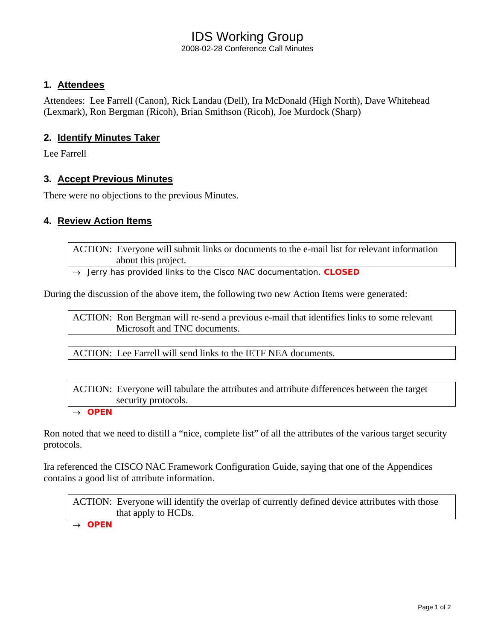# IDS Working Group

2008-02-28 Conference Call Minutes

#### **1. Attendees**

Attendees: Lee Farrell (Canon), Rick Landau (Dell), Ira McDonald (High North), Dave Whitehead (Lexmark), Ron Bergman (Ricoh), Brian Smithson (Ricoh), Joe Murdock (Sharp)

#### **2. Identify Minutes Taker**

Lee Farrell

#### **3. Accept Previous Minutes**

There were no objections to the previous Minutes.

#### **4. Review Action Items**

ACTION: Everyone will submit links or documents to the e-mail list for relevant information about this project.

→ *Jerry has provided links to the Cisco NAC documentation. CLOSED*

During the discussion of the above item, the following two new Action Items were generated:

ACTION: Ron Bergman will re-send a previous e-mail that identifies links to some relevant Microsoft and TNC documents.

ACTION: Lee Farrell will send links to the IETF NEA documents.

ACTION: Everyone will tabulate the attributes and attribute differences between the target security protocols.

→ *OPEN* 

Ron noted that we need to distill a "nice, complete list" of all the attributes of the various target security protocols.

Ira referenced the CISCO NAC Framework Configuration Guide, saying that one of the Appendices contains a good list of attribute information.

ACTION: Everyone will identify the overlap of currently defined device attributes with those that apply to HCDs.

→ *OPEN*